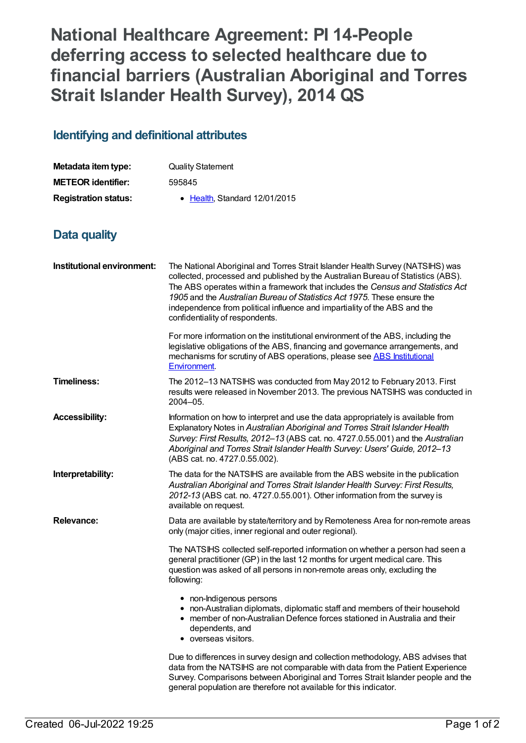## **National Healthcare Agreement: PI 14-People deferring access to selected healthcare due to financial barriers (Australian Aboriginal and Torres Strait Islander Health Survey), 2014 QS**

## **Identifying and definitional attributes**

| Metadata item type:         | <b>Quality Statement</b>             |
|-----------------------------|--------------------------------------|
| <b>METEOR</b> identifier:   | 595845                               |
| <b>Registration status:</b> | $\bullet$ Health Standard 12/01/2015 |

## **Data quality**

| Institutional environment: | The National Aboriginal and Torres Strait Islander Health Survey (NATSIHS) was<br>collected, processed and published by the Australian Bureau of Statistics (ABS).<br>The ABS operates within a framework that includes the Census and Statistics Act<br>1905 and the Australian Bureau of Statistics Act 1975. These ensure the<br>independence from political influence and impartiality of the ABS and the<br>confidentiality of respondents. |
|----------------------------|--------------------------------------------------------------------------------------------------------------------------------------------------------------------------------------------------------------------------------------------------------------------------------------------------------------------------------------------------------------------------------------------------------------------------------------------------|
|                            | For more information on the institutional environment of the ABS, including the<br>legislative obligations of the ABS, financing and governance arrangements, and<br>mechanisms for scrutiny of ABS operations, please see ABS Institutional<br>Environment.                                                                                                                                                                                     |
| <b>Timeliness:</b>         | The 2012-13 NATSIHS was conducted from May 2012 to February 2013. First<br>results were released in November 2013. The previous NATSIHS was conducted in<br>2004-05.                                                                                                                                                                                                                                                                             |
| <b>Accessibility:</b>      | Information on how to interpret and use the data appropriately is available from<br>Explanatory Notes in Australian Aboriginal and Torres Strait Islander Health<br>Survey: First Results, 2012-13 (ABS cat. no. 4727.0.55.001) and the Australian<br>Aboriginal and Torres Strait Islander Health Survey: Users' Guide, 2012-13<br>(ABS cat. no. 4727.0.55.002).                                                                                |
| Interpretability:          | The data for the NATSIHS are available from the ABS website in the publication<br>Australian Aboriginal and Torres Strait Islander Health Survey: First Results,<br>2012-13 (ABS cat. no. 4727.0.55.001). Other information from the survey is<br>available on request.                                                                                                                                                                          |
| <b>Relevance:</b>          | Data are available by state/territory and by Remoteness Area for non-remote areas<br>only (major cities, inner regional and outer regional).                                                                                                                                                                                                                                                                                                     |
|                            | The NATSIHS collected self-reported information on whether a person had seen a<br>general practitioner (GP) in the last 12 months for urgent medical care. This<br>question was asked of all persons in non-remote areas only, excluding the<br>following:                                                                                                                                                                                       |
|                            | • non-Indigenous persons<br>• non-Australian diplomats, diplomatic staff and members of their household<br>• member of non-Australian Defence forces stationed in Australia and their<br>dependents, and<br>• overseas visitors.                                                                                                                                                                                                                 |
|                            | Due to differences in survey design and collection methodology, ABS advises that<br>data from the NATSIHS are not comparable with data from the Patient Experience<br>Survey. Comparisons between Aboriginal and Torres Strait Islander people and the<br>general population are therefore not available for this indicator.                                                                                                                     |